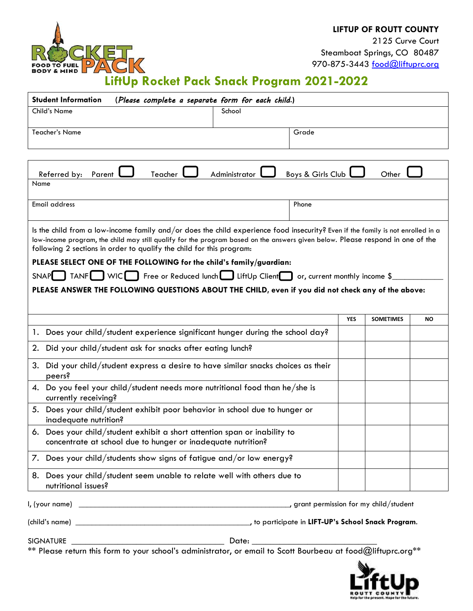

2125 Curve Court Steamboat Springs, CO 80487 970-875-3443 [food@liftuprc.org](mailto:food@liftuprc.org)

## $3K$ **FOOD TO FUEL**<br>**BODY & MIND**  $\Delta$ **LiftUp Rocket Pack Snack Program 2021-2022**

| <b>Student Information</b>                                                                                                                                                                                                                                                                                                                                                                                                                                                                           | (Please complete a separate form for each child.) |                   |                  |           |
|------------------------------------------------------------------------------------------------------------------------------------------------------------------------------------------------------------------------------------------------------------------------------------------------------------------------------------------------------------------------------------------------------------------------------------------------------------------------------------------------------|---------------------------------------------------|-------------------|------------------|-----------|
| Child's Name                                                                                                                                                                                                                                                                                                                                                                                                                                                                                         | School                                            |                   |                  |           |
| <b>Teacher's Name</b>                                                                                                                                                                                                                                                                                                                                                                                                                                                                                | Grade                                             |                   |                  |           |
|                                                                                                                                                                                                                                                                                                                                                                                                                                                                                                      |                                                   |                   |                  |           |
| Referred by: Parent<br>Teacher                                                                                                                                                                                                                                                                                                                                                                                                                                                                       | Administrator                                     | Boys & Girls Club | Other            |           |
| Name                                                                                                                                                                                                                                                                                                                                                                                                                                                                                                 |                                                   |                   |                  |           |
| <b>Email address</b>                                                                                                                                                                                                                                                                                                                                                                                                                                                                                 | Phone                                             |                   |                  |           |
| Is the child from a low-income family and/or does the child experience food insecurity? Even if the family is not enrolled in a<br>low-income program, the child may still qualify for the program based on the answers given below. Please respond in one of the<br>following 2 sections in order to qualify the child for this program:<br>PLEASE SELECT ONE OF THE FOLLOWING for the child's family/guardian:<br>SNAP TANF WICE Free or Reduced lunch LiftUp Client or, current monthly income \$ |                                                   |                   |                  |           |
| PLEASE ANSWER THE FOLLOWING QUESTIONS ABOUT THE CHILD, even if you did not check any of the above:                                                                                                                                                                                                                                                                                                                                                                                                   |                                                   |                   |                  |           |
|                                                                                                                                                                                                                                                                                                                                                                                                                                                                                                      |                                                   | <b>YES</b>        | <b>SOMETIMES</b> | <b>NO</b> |
| 1. Does your child/student experience significant hunger during the school day?                                                                                                                                                                                                                                                                                                                                                                                                                      |                                                   |                   |                  |           |
| Did your child/student ask for snacks after eating lunch?<br>2.                                                                                                                                                                                                                                                                                                                                                                                                                                      |                                                   |                   |                  |           |
| Did your child/student express a desire to have similar snacks choices as their<br>3.<br>peers?                                                                                                                                                                                                                                                                                                                                                                                                      |                                                   |                   |                  |           |
| 4. Do you feel your child/student needs more nutritional food than he/she is<br>currently receiving?                                                                                                                                                                                                                                                                                                                                                                                                 |                                                   |                   |                  |           |
| Does your child/student exhibit poor behavior in school due to hunger or<br>5.<br>inadequate nutrition?                                                                                                                                                                                                                                                                                                                                                                                              |                                                   |                   |                  |           |
| 6. Does your child/student exhibit a short attention span or inability to<br>concentrate at school due to hunger or inadequate nutrition?                                                                                                                                                                                                                                                                                                                                                            |                                                   |                   |                  |           |
| 7. Does your child/students show signs of fatigue and/or low energy?                                                                                                                                                                                                                                                                                                                                                                                                                                 |                                                   |                   |                  |           |
| Does your child/student seem unable to relate well with others due to<br>8.<br>nutritional issues?                                                                                                                                                                                                                                                                                                                                                                                                   |                                                   |                   |                  |           |
|                                                                                                                                                                                                                                                                                                                                                                                                                                                                                                      |                                                   |                   |                  |           |
|                                                                                                                                                                                                                                                                                                                                                                                                                                                                                                      |                                                   |                   |                  |           |
|                                                                                                                                                                                                                                                                                                                                                                                                                                                                                                      |                                                   |                   |                  |           |

\*\* Please return this form to your school's administrator, or email to Scott Bourbeau at food@liftuprc.org\*\*